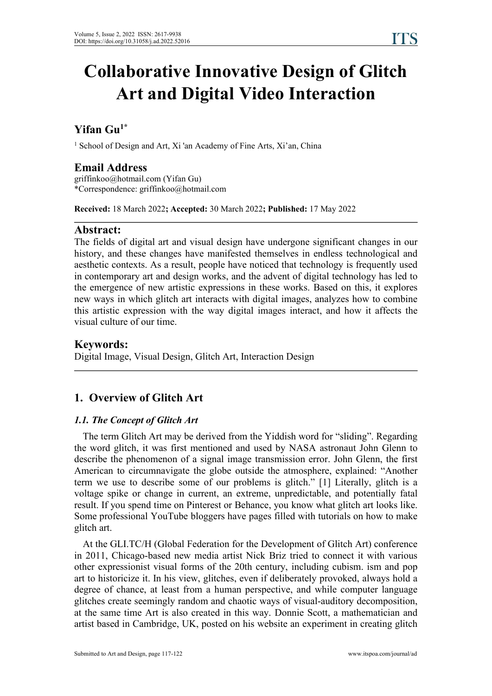# **Collaborative Innovative Design of Glitch Art and Digital Video Interaction**

#### **Yifan Gu 1\***

<sup>1</sup> School of Design and Art, Xi 'an Academy of Fine Arts, Xi'an, China

# **Email Address**

griffinkoo@hotmail.com (Yifan Gu) \*Correspondence: griffinkoo@hotmail.com

**Received:** 18 March 2022**; Accepted:** 30 March 2022**; Published:** 17 May 2022

### **Abstract:**

The fields of digital art and visual design have undergone significant changes in our history, and these changes have manifested themselves in endless technological and aesthetic contexts. As a result, people have noticed that technology is frequently used in contemporary art and design works, and the advent of digital technology has led to the emergence of new artistic expressions in these works. Based on this, it explores new ways in which glitch art interacts with digital images, analyzes how to combine this artistic expression with the way digital images interact, and how it affects the visual culture of our time.

# **Keywords:**

Digital Image, Visual Design, Glitch Art, Interaction Design

# **1. Overview of Glitch Art**

#### *1.1. The Concept of Glitch Art*

The term Glitch Art may be derived from the Yiddish word for "sliding". Regarding the word glitch, it was first mentioned and used by NASA astronaut John Glenn to describe the phenomenon of a signal image transmission error. John Glenn, the first American to circumnavigate the globe outside the atmosphere, explained: "Another term we use to describe some of our problems is glitch." [1] Literally, glitch is a voltage spike or change in current, an extreme, unpredictable, and potentially fatal result. If you spend time on Pinterest or Behance, you know what glitch art looks like. Some professional YouTube bloggers have pages filled with tutorials on how to make glitch art.

At the GLI.TC/H (Global Federation for the Development of Glitch Art) conference in 2011, Chicago-based new media artist Nick Briz tried to connect it with various other expressionist visual forms of the 20th century, including cubism. ism and pop art to historicize it. In his view, glitches, even if deliberately provoked, always hold a degree of chance, at least from a human perspective, and while computer language glitches create seemingly random and chaotic ways of visual-auditory decomposition, at the same time Art is also created in this way. Donnie Scott, a mathematician and artist based in Cambridge, UK, posted on his website an experiment in creating glitch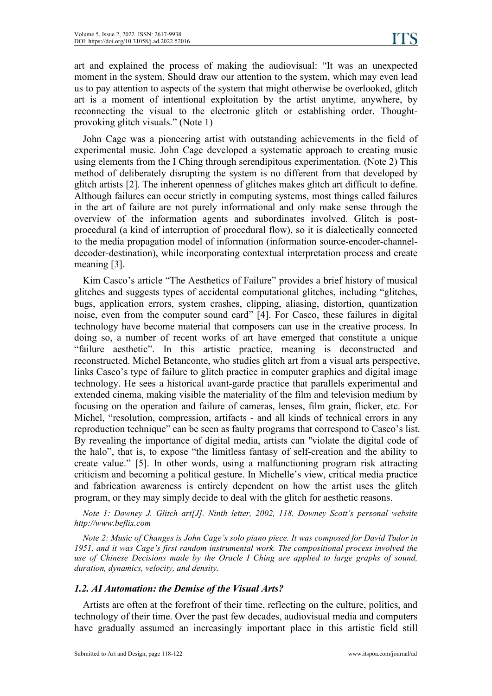art and explained the process of making the audiovisual: "It was an unexpected moment in the system, Should draw our attention to the system, which may even lead us to pay attention to aspects of the system that might otherwise be overlooked, glitch art is a moment of intentional exploitation by the artist anytime, anywhere, by reconnecting the visual to the electronic glitch or establishing order. Thought provoking glitch visuals." (Note 1)

John Cage was a pioneering artist with outstanding achievements in the field of experimental music. John Cage developed a systematic approach to creating music using elements from the I Ching through serendipitous experimentation. (Note 2) This method of deliberately disrupting the system is no different from that developed by glitch artists [2]. The inherent openness of glitches makes glitch art difficult to define. Although failures can occur strictly in computing systems, most things called failures in the art of failure are not purely informational and only make sense through the overview of the information agents and subordinates involved. Glitch is post procedural (a kind of interruption of procedural flow), so it is dialectically connected to the media propagation model of information (information source-encoder-channel decoder-destination), while incorporating contextual interpretation process and create meaning [3].

Kim Casco's article "The Aesthetics of Failure" provides a brief history of musical glitches and suggests types of accidental computational glitches, including "glitches, bugs, application errors, system crashes, clipping, aliasing, distortion, quantization noise, even from the computer sound card" [4]. For Casco, these failures in digital technology have become material that composers can use in the creative process. In doing so, a number of recent works of art have emerged that constitute a unique "failure aesthetic". In this artistic practice, meaning is deconstructed and reconstructed. Michel Betanconte, who studies glitch art from a visual arts perspective, links Casco's type of failure to glitch practice in computer graphics and digital image technology. He sees a historical avant-garde practice that parallels experimental and extended cinema, making visible the materiality of the film and television medium by focusing on the operation and failure of cameras, lenses, film grain, flicker, etc. For Michel, "resolution, compression, artifacts - and all kinds of technical errors in any reproduction technique" can be seen as faulty programs that correspond to Casco's list. By revealing the importance of digital media, artists can "violate the digital code of the halo", that is, to expose "the limitless fantasy of self-creation and the ability to create value." [5]. In other words, using a malfunctioning program risk attracting criticism and becoming a political gesture. In Michelle's view, critical media practice and fabrication awareness is entirely dependent on how the artist uses the glitch program, or they may simply decide to deal with the glitch for aesthetic reasons.

*Note 1: Downey J. Glitch art[J]. Ninth letter, 2002, 118. Downey Scott's personal website http://www.beflix.com*

*Note 2: Music of Changes is John Cage's solo piano piece. It was composed for David Tudor in 1951, and it was Cage's first random instrumental work. The compositional process involved the use of Chinese Decisions made by the Oracle I Ching are applied to large graphs of sound, duration, dynamics, velocity, and density.*

#### *1.2. AI Automation: the Demise of the Visual Arts?*

Artists are often at the forefront of their time, reflecting on the culture, politics, and technology of their time. Over the past few decades, audiovisual media and computers have gradually assumed an increasingly important place in this artistic field still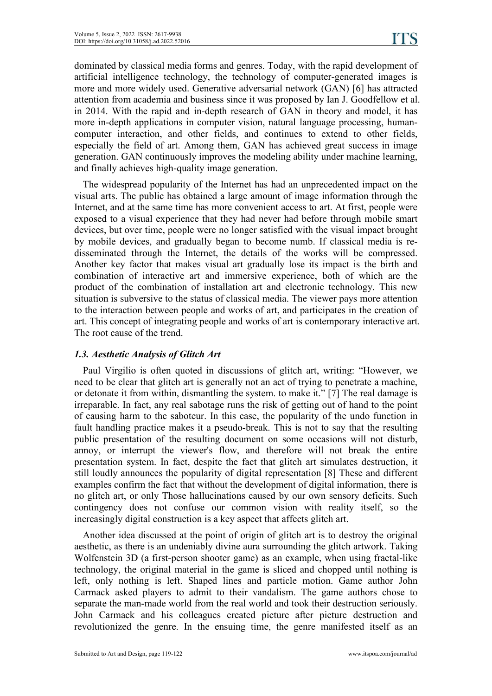dominated by classical media forms and genres. Today, with the rapid development of artificial intelligence technology, the technology of computer-generated images is more and more widely used. Generative adversarial network (GAN) [6] has attracted attention from academia and business since it was proposed by Ian J. Goodfellow et al. in 2014. With the rapid and in-depth research of GAN in theory and model, it has more in-depth applications in computer vision, natural language processing, human computer interaction, and other fields, and continues to extend to other fields, especially the field of art. Among them, GAN has achieved great success in image generation. GAN continuously improves the modeling ability under machine learning, and finally achieves high-quality image generation.

The widespread popularity of the Internet has had an unprecedented impact on the visual arts. The public has obtained a large amount of image information through the Internet, and at the same time has more convenient access to art.At first, people were exposed to a visual experience that they had never had before through mobile smart devices, but over time, people were no longer satisfied with the visual impact brought by mobile devices, and gradually began to become numb. If classical media is redisseminated through the Internet, the details of the works will be compressed. Another key factor that makes visual art gradually lose its impact is the birth and combination of interactive art and immersive experience, both of which are the product of the combination of installation art and electronic technology. This new situation is subversive to the status of classical media. The viewer pays more attention to the interaction between people and works of art, and participates in the creation of art. This concept of integrating people and works ofart is contemporary interactive art. The root cause of the trend.

#### *1.3. Aesthetic Analysis ofGlitch Art*

Paul Virgilio is often quoted in discussions of glitch art, writing: "However, we need to be clear that glitch art is generally not an act of trying to penetrate a machine, or detonate it from within, dismantling the system.to make it." [7] The real damage is irreparable. In fact, any real sabotage runs the risk of getting out of hand to the point of causing harm to the saboteur. In this case, the popularity of the undo function in fault handling practice makes it a pseudo-break. This is not to say that the resulting public presentation of the resulting document on some occasions will not disturb, annoy, or interrupt the viewer's flow, and therefore will not break the entire presentation system. In fact, despite the fact that glitch art simulates destruction, it still loudly announces the popularity of digital representation [8] These and different examples confirm the fact that without the development of digital information, there is no glitch art, or only Those hallucinations caused by our own sensory deficits. Such contingency does not confuse our common vision with reality itself, so the increasingly digital construction is a key aspect that affects glitch art.

Another idea discussed at the point of origin of glitch art is to destroy the original aesthetic, as there is an undeniably divine aura surrounding the glitch artwork. Taking Wolfenstein 3D (a first-person shooter game) as an example, when using fractal-like technology, the original material in the game is sliced and chopped until nothing is left, only nothing is left. Shaped lines and particle motion. Game author John Carmack asked players to admit to their vandalism. The game authors chose to separate the man-made world from the real world and took their destruction seriously. John Carmack and his colleagues created picture after picture destruction and revolutionized the genre.In the ensuing time, the genre manifested itself as an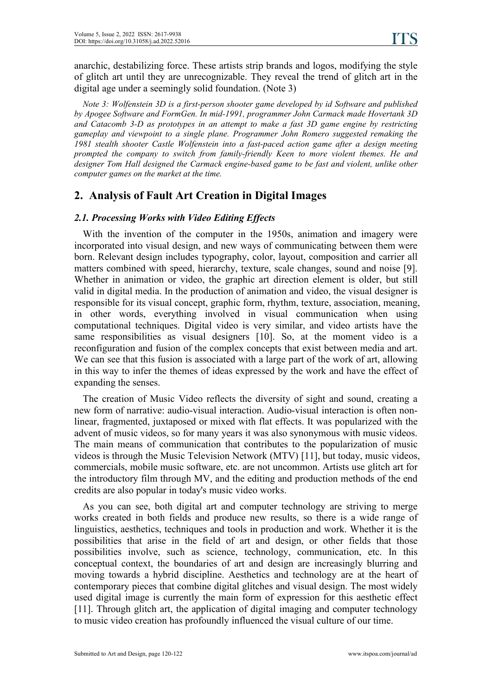anarchic, destabilizing force. These artists strip brands and logos, modifying the style of glitch art until they are unrecognizable. They reveal the trend of glitch art in the digital age under a seemingly solid foundation. (Note 3)

*Note 3: Wolfenstein 3D is a first-person shooter game developed by id Software and published by Apogee Software and FormGen. In mid-1991, programmer John Carmack made Hovertank 3D and Catacomb 3-D as prototypes in an attempt to make a fast 3D game engine by restricting gameplay and viewpoint to a single plane. Programmer John Romero suggested remaking the 1981 stealth shooter Castle Wolfenstein into a fast-paced action game after a design meeting prompted the company to switch from family-friendly Keen to more violent themes. He and designer Tom Hall designed the Carmack engine-based game to be fast and violent, unlike other computer games on the market at the time.*

# **2. Analysis of Fault Art Creation in Digital Images**

#### *2.1. Processing Works with Video Editing Ef ects*

With the invention of the computer in the 1950s, animation and imagery were incorporated into visual design, and new ways of communicating between them were born. Relevant design includes typography, color, layout, composition and carrier all matters combined with speed, hierarchy, texture, scale changes, sound and noise [9]. Whether in animation or video, the graphic art direction element is older, but still valid in digital media. In the production of animation and video, the visual designer is responsible for its visual concept, graphic form, rhythm, texture, association, meaning, in other words, everything involved in visual communication when using computational techniques. Digital video is very similar, and video artists have the same responsibilities as visual designers [10]. So, at the moment video is a reconfiguration and fusion of the complex concepts that exist between media and art. We can see that this fusion is associated with a large part of the work of art, allowing in this way to infer the themes of ideas expressed by the work and have the effect of expanding the senses.

The creation of Music Video reflects the diversity of sight and sound, creating a new form of narrative: audio-visual interaction. Audio-visual interaction is often nonlinear, fragmented, juxtaposed or mixed with flat effects. It was popularized with the advent of music videos, so for many years it was also synonymous with music videos. The main means of communication that contributes to the popularization of music videos is through the Music Television Network (MTV)[11], but today, music videos, commercials, mobile music software, etc. are not uncommon. Artists use glitch art for the introductory film through MV, and the editing and production methods of the end credits are also popular in today's music video works.

As you can see, both digital art and computer technology are striving to merge works created in both fields and produce new results, so there is a wide range of linguistics, aesthetics, techniques and tools in production and work. Whether it is the possibilities that arise in the field of art and design, or other fields that those possibilities involve, such as science, technology, communication, etc. In this conceptual context, the boundaries of art and design are increasingly blurring and moving towards a hybrid discipline. Aesthetics and technology are at the heart of contemporary pieces that combine digital glitches and visual design. The most widely used digital image is currently the main form of expression for this aesthetic effect [11]. Through glitch art, the application of digital imaging and computer technology to music video creation has profoundly influenced the visual culture of our time.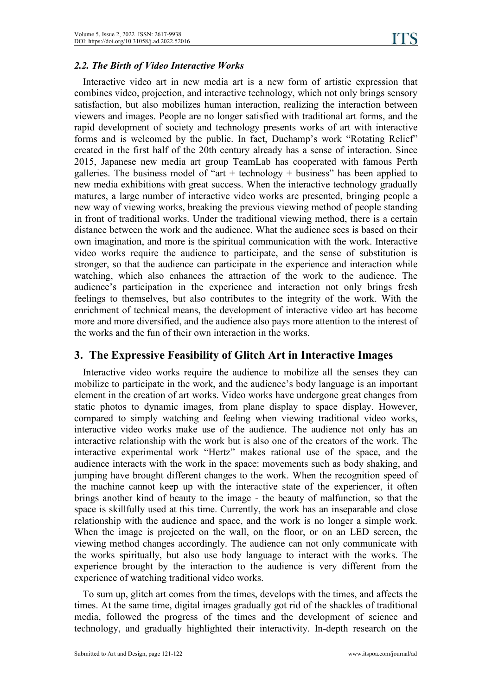#### *2.2. The Birth of Video Interactive Works*

Interactive video art in new media art is a new form of artistic expression that combines video, projection, and interactive technology, which not only brings sensory satisfaction, but also mobilizes human interaction, realizing the interaction between viewers and images. People are no longer satisfied with traditional art forms, and the rapid development of society and technology presents works of art with interactive forms and is welcomed by the public. In fact, Duchamp's work "Rotating Relief" created in the first half of the 20th century already has a sense of interaction. Since 2015, Japanese new media art group TeamLab has cooperated with famous Perth galleries. The business model of "art + technology + business" has been applied to new media exhibitions with great success. When the interactive technology gradually matures, a large number of interactive video works are presented, bringing people a new way of viewing works, breaking the previous viewing method of people standing in front of traditional works. Under the traditional viewing method, there is a certain distance between the work and the audience. What the audience sees is based on their own imagination, and more is the spiritual communication with the work. Interactive video works require the audience to participate, and the sense of substitution is stronger, so that the audience can participate in the experience and interaction while watching, which also enhances the attraction of the work to the audience. The audience's participation in the experience and interaction not only brings fresh feelings to themselves, but also contributes to the integrity of the work. With the enrichment of technical means, the development of interactive video art has become more and more diversified, and the audience also paysmore attention to the interestof the works and the fun of their own interaction in the works.

# **3. The Expressive Feasibility of Glitch Art in Interactive Images**

Interactive video works require the audience to mobilize all the senses they can mobilize to participate in the work, and the audience's body language is an important element in the creation of art works. Video works have undergone great changes from static photos to dynamic images, from plane display to space display. However, compared to simply watching and feeling when viewing traditional video works, interactive video works make use of the audience. The audience not only has an interactive relationship with the work but is also one of the creators of the work. The interactive experimental work "Hertz" makes rational use of the space, and the audience interacts with the work in the space: movements such as body shaking, and jumping have brought different changes to the work. When the recognition speed of the machine cannot keep up with the interactive state of the experiencer, it often brings another kind of beauty to the image - the beauty of malfunction, so that the space isskillfully used at this time. Currently, the work has an inseparable and close relationship with the audience and space, and the work is no longer a simple work. When the image is projected on the wall, on the floor, or on an LED screen, the viewing method changes accordingly. The audience can not only communicate with the works spiritually, but also use body language to interact with the works.The experience brought by the interaction to the audience is very different from the experience of watching traditional video works.

To sum up, glitch art comes from the times, develops with the times, and affects the times. At the same time, digital images gradually got rid of the shackles of traditional media, followed the progress of the times and the development of science and technology, and gradually highlighted their interactivity. In-depth research on the